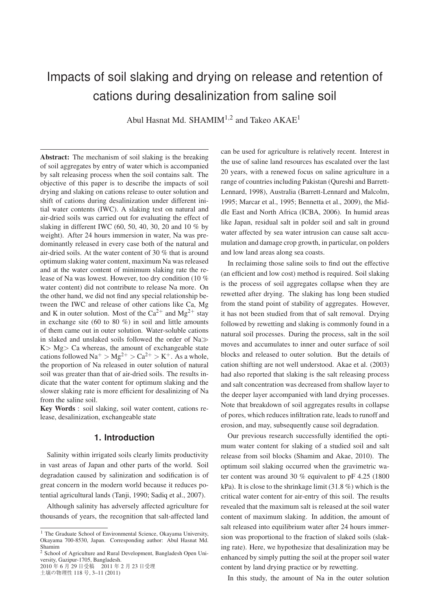# Impacts of soil slaking and drying on release and retention of cations during desalinization from saline soil

Abul Hasnat Md. SHAMIM<sup>1,2</sup> and Takeo AKAE<sup>1</sup>

Abstract: The mechanism of soil slaking is the breaking of soil aggregates by entry of water which is accompanied by salt releasing process when the soil contains salt. The objective of this paper is to describe the impacts of soil drying and slaking on cations release to outer solution and shift of cations during desalinization under different initial water contents (IWC). A slaking test on natural and air-dried soils was carried out for evaluating the effect of slaking in different IWC (60, 50, 40, 30, 20 and 10 % by weight). After 24 hours immersion in water, Na was predominantly released in every case both of the natural and air-dried soils. At the water content of 30 % that is around optimum slaking water content, maximum Na was released and at the water content of minimum slaking rate the release of Na was lowest. However, too dry condition (10 % water content) did not contribute to release Na more. On the other hand, we did not find any special relationship between the IWC and release of other cations like Ca, Mg and K in outer solution. Most of the  $Ca^{2+}$  and  $Mg^{2+}$  stay in exchange site (60 to 80 %) in soil and little amounts of them came out in outer solution. Water-soluble cations in slaked and unslaked soils followed the order of  $Na \gg$  $K > Mg > Ca$  whereas, the amount of exchangeable state cations followed  $\text{Na}^+$  >  $\text{Mg}^{2+}$  >  $\text{Ca}^{2+}$  >  $\text{K}^+$ . As a whole, the proportion of Na released in outer solution of natural soil was greater than that of air-dried soils. The results indicate that the water content for optimum slaking and the slower slaking rate is more efficient for desalinizing of Na from the saline soil.

Key Words : soil slaking, soil water content, cations release, desalinization, exchangeable state

### **1. Introduction**

Salinity within irrigated soils clearly limits productivity in vast areas of Japan and other parts of the world. Soil degradation caused by salinization and sodification is of great concern in the modern world because it reduces potential agricultural lands (Tanji, 1990; Sadiq et al., 2007).

Although salinity has adversely affected agriculture for thousands of years, the recognition that salt-affected land

2010 年 6 月 29 日受稿 2011 年 2 月 23 日受理 土壌の物理性 118 号, 3–11 (2011)

can be used for agriculture is relatively recent. Interest in the use of saline land resources has escalated over the last 20 years, with a renewed focus on saline agriculture in a range of countries including Pakistan (Qureshi and Barrett-Lennard, 1998), Australia (Barrett-Lennard and Malcolm, 1995; Marcar et al., 1995; Bennetta et al., 2009), the Middle East and North Africa (ICBA, 2006). In humid areas like Japan, residual salt in polder soil and salt in ground water affected by sea water intrusion can cause salt accumulation and damage crop growth, in particular, on polders and low land areas along sea coasts.

In reclaiming those saline soils to find out the effective (an efficient and low cost) method is required. Soil slaking is the process of soil aggregates collapse when they are rewetted after drying. The slaking has long been studied from the stand point of stability of aggregates. However, it has not been studied from that of salt removal. Drying followed by rewetting and slaking is commonly found in a natural soil processes. During the process, salt in the soil moves and accumulates to inner and outer surface of soil blocks and released to outer solution. But the details of cation shifting are not well understood. Akae et al. (2003) had also reported that slaking is the salt releasing process and salt concentration was decreased from shallow layer to the deeper layer accompanied with land drying processes. Note that breakdown of soil aggregates results in collapse of pores, which reduces infiltration rate, leads to runoff and erosion, and may, subsequently cause soil degradation.

Our previous research successfully identified the optimum water content for slaking of a studied soil and salt release from soil blocks (Shamim and Akae, 2010). The optimum soil slaking occurred when the gravimetric water content was around 30 % equivalent to pF 4.25 (1800 kPa). It is close to the shrinkage limit (31.8 %) which is the critical water content for air-entry of this soil. The results revealed that the maximum salt is released at the soil water content of maximum slaking. In addition, the amount of salt released into equilibrium water after 24 hours immersion was proportional to the fraction of slaked soils (slaking rate). Here, we hypothesize that desalinization may be enhanced by simply putting the soil at the proper soil water content by land drying practice or by rewetting.

In this study, the amount of Na in the outer solution

<sup>&</sup>lt;sup>1</sup> The Graduate School of Environmental Science, Okayama University, Okayama 700-8530, Japan. Corresponding author: Abul Hasnat Md. Shamim

<sup>2</sup> School of Agriculture and Rural Development, Bangladesh Open University, Gazipur-1705, Bangladesh.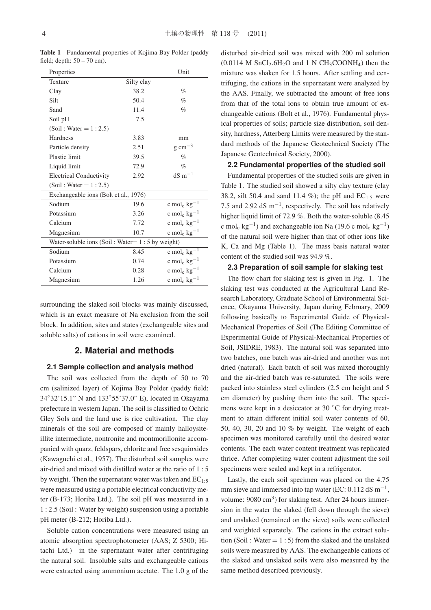| Properties                                        |            | Unit                                |  |  |  |  |
|---------------------------------------------------|------------|-------------------------------------|--|--|--|--|
| Texture                                           | Silty clay |                                     |  |  |  |  |
| Clay                                              | 38.2       | $\%$                                |  |  |  |  |
| Silt                                              | 50.4       | $\%$                                |  |  |  |  |
| Sand                                              | 11.4       | $\%$                                |  |  |  |  |
| Soil pH                                           | 7.5        |                                     |  |  |  |  |
| $(Soil: Water = 1:2.5)$                           |            |                                     |  |  |  |  |
| Hardness                                          | 3.83       | mm                                  |  |  |  |  |
| Particle density                                  | 2.51       | $g \text{ cm}^{-3}$                 |  |  |  |  |
| <b>Plastic limit</b>                              | 39.5       | %                                   |  |  |  |  |
| Liquid limit                                      | 72.9       | $\%$                                |  |  |  |  |
| <b>Electrical Conductivity</b>                    | 2.92       | $dS$ m <sup><math>-1</math></sup>   |  |  |  |  |
| (Soil: Water = $1:2.5$ )                          |            |                                     |  |  |  |  |
| Exchangeable ions (Bolt et al., 1976)             |            |                                     |  |  |  |  |
| Sodium                                            | 19.6       | c mol <sub>c</sub> $kg^{-1}$        |  |  |  |  |
| Potassium                                         | 3.26       | c mol <sub>c</sub> $kg^{-1}$        |  |  |  |  |
| Calcium                                           | 7.72       | c mol <sub>c</sub> $kg^{-1}$        |  |  |  |  |
| Magnesium                                         | 10.7       | c mol <sub>c</sub> $kg^{-1}$        |  |  |  |  |
| Water-soluble ions (Soil: Water= $1:5$ by weight) |            |                                     |  |  |  |  |
| Sodium                                            | 8.45       | c mol <sub>c</sub> $kg^{-1}$        |  |  |  |  |
| Potassium                                         | 0.74       | c mol <sub>c</sub> $kg^{-1}$        |  |  |  |  |
| Calcium                                           | 0.28       | c mol <sub>c</sub> $kg^{-1}$        |  |  |  |  |
| Magnesium                                         | 1.26       | c mol <sub>c</sub> kg <sup>-1</sup> |  |  |  |  |

Table 1 Fundamental properties of Kojima Bay Polder (paddy field; depth:  $50 - 70$  cm).

surrounding the slaked soil blocks was mainly discussed, which is an exact measure of Na exclusion from the soil block. In addition, sites and states (exchangeable sites and soluble salts) of cations in soil were examined.

#### **2. Material and methods**

#### **2.1 Sample collection and analysis method**

The soil was collected from the depth of 50 to 70 cm (salinized layer) of Kojima Bay Polder (paddy field: 34◦32'15.1" N and 133◦55'37.0" E), located in Okayama prefecture in western Japan. The soil is classified to Ochric Gley Sols and the land use is rice cultivation. The clay minerals of the soil are composed of mainly halloysiteillite intermediate, nontronite and montmorillonite accompanied with quarz, feldspars, chlorite and free sesquioxides (Kawaguchi et al., 1957). The disturbed soil samples were air-dried and mixed with distilled water at the ratio of 1 : 5 by weight. Then the supernatant water was taken and  $EC_{1:5}$ were measured using a portable electrical conductivity meter (B-173; Horiba Ltd.). The soil pH was measured in a 1:2.5 (Soil : Water by weight) suspension using a portable pH meter (B-212; Horiba Ltd.).

Soluble cation concentrations were measured using an atomic absorption spectrophotometer (AAS; Z 5300; Hitachi Ltd.) in the supernatant water after centrifuging the natural soil. Insoluble salts and exchangeable cations were extracted using ammonium acetate. The 1.0 g of the disturbed air-dried soil was mixed with 200 ml solution  $(0.0114 \text{ M SnCl}_2.6H_2O \text{ and } 1 \text{ N CH}_3COONH_4)$  then the mixture was shaken for 1.5 hours. After settling and centrifuging, the cations in the supernatant were analyzed by the AAS. Finally, we subtracted the amount of free ions from that of the total ions to obtain true amount of exchangeable cations (Bolt et al., 1976). Fundamental physical properties of soils; particle size distribution, soil density, hardness, Atterberg Limits were measured by the standard methods of the Japanese Geotechnical Society (The Japanese Geotechnical Society, 2000).

#### **2.2 Fundamental properties of the studied soil**

Fundamental properties of the studied soils are given in Table 1. The studied soil showed a silty clay texture (clay 38.2, silt 50.4 and sand 11.4 %); the pH and  $EC_{1:5}$  were 7.5 and 2.92 dS m−1, respectively. The soil has relatively higher liquid limit of 72.9 %. Both the water-soluble (8.45 c mol<sub>c</sub> kg<sup>-1</sup>) and exchangeable ion Na (19.6 c mol<sub>c</sub> kg<sup>-1</sup>) of the natural soil were higher than that of other ions like K, Ca and Mg (Table 1). The mass basis natural water content of the studied soil was 94.9 %.

#### **2.3 Preparation of soil sample for slaking test**

The flow chart for slaking test is given in Fig. 1. The slaking test was conducted at the Agricultural Land Research Laboratory, Graduate School of Environmental Science, Okayama University, Japan during February, 2009 following basically to Experimental Guide of Physical-Mechanical Properties of Soil (The Editing Committee of Experimental Guide of Physical-Mechanical Properties of Soil, JSIDRE, 1983). The natural soil was separated into two batches, one batch was air-dried and another was not dried (natural). Each batch of soil was mixed thoroughly and the air-dried batch was re-saturated. The soils were packed into stainless steel cylinders (2.5 cm height and 5 cm diameter) by pushing them into the soil. The specimens were kept in a desiccator at 30 ◦C for drying treatment to attain different initial soil water contents of 60, 50, 40, 30, 20 and 10 % by weight. The weight of each specimen was monitored carefully until the desired water contents. The each water content treatment was replicated thrice. After completing water content adjustment the soil specimens were sealed and kept in a refrigerator.

Lastly, the each soil specimen was placed on the 4.75 mm sieve and immersed into tap water (EC:  $0.112 \text{ dS m}^{-1}$ , volume:  $9080 \text{ cm}^3$ ) for slaking test. After 24 hours immersion in the water the slaked (fell down through the sieve) and unslaked (remained on the sieve) soils were collected and weighted separately. The cations in the extract solution (Soil : Water  $= 1:5$ ) from the slaked and the unslaked soils were measured by AAS. The exchangeable cations of the slaked and unslaked soils were also measured by the same method described previously.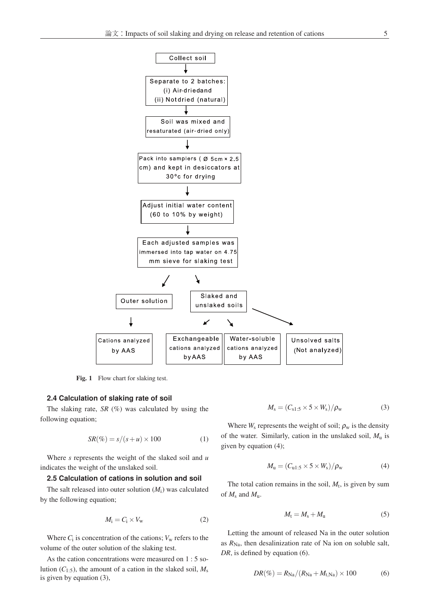

Fig. 1 Flow chart for slaking test.

#### **2.4 Calculation of slaking rate of soil**

The slaking rate,  $SR$  (%) was calculated by using the following equation;

$$
SR(\%) = s/(s+u) \times 100 \tag{1}
$$

Where *s* represents the weight of the slaked soil and *u* indicates the weight of the unslaked soil.

#### **2.5 Calculation of cations in solution and soil**

The salt released into outer solution (*M*i) was calculated by the following equation;

$$
M_{\rm i} = C_{\rm i} \times V_{\rm w} \tag{2}
$$

Where  $C_i$  is concentration of the cations;  $V_w$  refers to the volume of the outer solution of the slaking test.

As the cation concentrations were measured on 1 : 5 solution  $(C_{1:5})$ , the amount of a cation in the slaked soil,  $M_s$ is given by equation (3),

$$
M_{\rm s} = (C_{\rm s1:5} \times 5 \times W_{\rm s})/\rho_{\rm w} \tag{3}
$$

Where  $W_s$  represents the weight of soil;  $\rho_w$  is the density of the water. Similarly, cation in the unslaked soil, *M*<sup>u</sup> is given by equation (4);

$$
M_{\rm u} = (C_{\rm u1:5} \times 5 \times W_{\rm s})/\rho_{\rm w} \tag{4}
$$

The total cation remains in the soil,  $M_t$ , is given by sum of *M*<sup>s</sup> and *M*u.

$$
M_{\rm t} = M_{\rm s} + M_{\rm u} \tag{5}
$$

Letting the amount of released Na in the outer solution as  $R_{\text{Na}}$ , then desalinization rate of Na ion on soluble salt, *DR*, is defined by equation (6).

$$
DR(\%)=R_{\text{Na}}/(R_{\text{Na}}+M_{\text{t,Na}})\times 100 \tag{6}
$$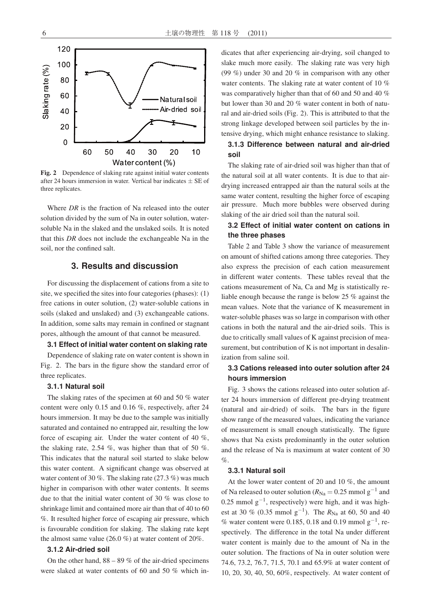

Fig. 2 Dependence of slaking rate against initial water contents after 24 hours immersion in water. Vertical bar indicates  $\pm$  SE of three replicates.

Where *DR* is the fraction of Na released into the outer solution divided by the sum of Na in outer solution, watersoluble Na in the slaked and the unslaked soils. It is noted that this *DR* does not include the exchangeable Na in the soil, nor the confined salt.

## **3. Results and discussion**

For discussing the displacement of cations from a site to site, we specified the sites into four categories (phases): (1) free cations in outer solution, (2) water-soluble cations in soils (slaked and unslaked) and (3) exchangeable cations. In addition, some salts may remain in confined or stagnant pores, although the amount of that cannot be measured.

#### **3.1 Effect of initial water content on slaking rate**

Dependence of slaking rate on water content is shown in Fig. 2. The bars in the figure show the standard error of three replicates.

### **3.1.1 Natural soil**

The slaking rates of the specimen at 60 and 50 % water content were only 0.15 and 0.16 %, respectively, after 24 hours immersion. It may be due to the sample was initially saturated and contained no entrapped air, resulting the low force of escaping air. Under the water content of 40 %, the slaking rate, 2.54 %, was higher than that of 50 %. This indicates that the natural soil started to slake below this water content. A significant change was observed at water content of 30 %. The slaking rate (27.3 %) was much higher in comparison with other water contents. It seems due to that the initial water content of 30 % was close to shrinkage limit and contained more air than that of 40 to 60 %. It resulted higher force of escaping air pressure, which is favourable condition for slaking. The slaking rate kept the almost same value (26.0 %) at water content of 20%.

#### **3.1.2 Air-dried soil**

On the other hand,  $88 - 89\%$  of the air-dried specimens were slaked at water contents of 60 and 50 % which indicates that after experiencing air-drying, soil changed to slake much more easily. The slaking rate was very high (99 %) under 30 and 20 % in comparison with any other water contents. The slaking rate at water content of 10 % was comparatively higher than that of 60 and 50 and 40 % but lower than 30 and 20 % water content in both of natural and air-dried soils (Fig. 2). This is attributed to that the strong linkage developed between soil particles by the intensive drying, which might enhance resistance to slaking.

### **3.1.3 Difference between natural and air-dried soil**

The slaking rate of air-dried soil was higher than that of the natural soil at all water contents. It is due to that airdrying increased entrapped air than the natural soils at the same water content, resulting the higher force of escaping air pressure. Much more bubbles were observed during slaking of the air dried soil than the natural soil.

## **3.2 Effect of initial water content on cations in the three phases**

Table 2 and Table 3 show the variance of measurement on amount of shifted cations among three categories. They also express the precision of each cation measurement in different water contents. These tables reveal that the cations measurement of Na, Ca and Mg is statistically reliable enough because the range is below 25 % against the mean values. Note that the variance of K measurement in water-soluble phases was so large in comparison with other cations in both the natural and the air-dried soils. This is due to critically small values of K against precision of measurement, but contribution of K is not important in desalinization from saline soil.

### **3.3 Cations released into outer solution after 24 hours immersion**

Fig. 3 shows the cations released into outer solution after 24 hours immersion of different pre-drying treatment (natural and air-dried) of soils. The bars in the figure show range of the measured values, indicating the variance of measurement is small enough statistically. The figure shows that Na exists predominantly in the outer solution and the release of Na is maximum at water content of 30  $\%$ .

#### **3.3.1 Natural soil**

At the lower water content of 20 and 10 %, the amount of Na released to outer solution ( $R_{\text{Na}} = 0.25$  mmol g<sup>-1</sup> and 0.25 mmol  $g^{-1}$ , respectively) were high, and it was highest at 30 % (0.35 mmol g<sup>-1</sup>). The  $R_{\text{Na}}$  at 60, 50 and 40 % water content were 0.185, 0.18 and 0.19 mmol  $g^{-1}$ , respectively. The difference in the total Na under different water content is mainly due to the amount of Na in the outer solution. The fractions of Na in outer solution were 74.6, 73.2, 76.7, 71.5, 70.1 and 65.9% at water content of 10, 20, 30, 40, 50, 60%, respectively. At water content of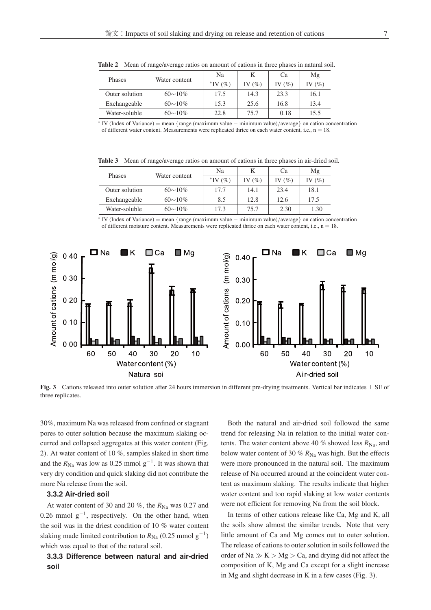| Phases         | Water content  | Na            |            | Ca         | Μg        |
|----------------|----------------|---------------|------------|------------|-----------|
|                |                | $*$ IV $(\%)$ | IV $(\% )$ | IV $(\% )$ | IV $(\%)$ |
| Outer solution | $60{\sim}10\%$ | 17.5          | 14.3       | 23.3       | 16.1      |
| Exchangeable   | $60{\sim}10\%$ | 15.3          | 25.6       | 16.8       | 13.4      |
| Water-soluble  | $60{\sim}10\%$ | 22.8          | 75.7       | 0.18       | 15.5      |
|                | $\sim$         |               |            |            |           |

Table 2 Mean of range/average ratios on amount of cations in three phases in natural soil.

<sup>∗</sup> IV (Index of Variance) <sup>=</sup> mean {range (maximum value <sup>−</sup> minimum value)/average} on cation concentration of different water content. Measurements were replicated thrice on each water content, i.e.,  $n = 18$ .

Table 3 Mean of range/average ratios on amount of cations in three phases in air-dried soil.

| Phases         | Water content  | Na            |         | Ca         | Mg      |
|----------------|----------------|---------------|---------|------------|---------|
|                |                | $*$ IV $(\%)$ | $V(\%)$ | IV $(\% )$ | $V(\%)$ |
| Outer solution | $60{\sim}10\%$ | 17.7          | 14.1    | 23.4       | 18.1    |
| Exchangeable   | $60{\sim}10\%$ | 8.5           | 12.8    | 12.6       | 17.5    |
| Water-soluble  | $60{\sim}10\%$ | 17.3          | 75.7    | 2.30       | 1.30    |
|                | $\sim$         |               |         |            |         |

<sup>∗</sup> IV (Index of Variance) <sup>=</sup> mean {range (maximum value <sup>−</sup> minimum value)/average} on cation concentration of different moisture content. Measurements were replicated thrice on each water content, i.e.,  $n = 18$ .



Fig. 3 Cations released into outer solution after 24 hours immersion in different pre-drying treatments. Vertical bar indicates  $\pm$  SE of three replicates.

30%, maximum Na was released from confined or stagnant curred and collapsed aggregates at this water content (Fig. 2). At water content of 10 %, samples slaked in short time and the  $R_{\text{Na}}$  was low as 0.25 mmol g<sup>-1</sup>. It was shown that very dry condition and quick slaking did not contribute the

## more Na release from the soil. **3.3.2 Air-dried soil**

At water content of 30 and 20  $\%$ , the  $R_{\text{Na}}$  was 0.27 and 0.26 mmol  $g^{-1}$ , respectively. On the other hand, when the soil was in the driest condition of 10 % water content slaking made limited contribution to  $R_{\text{Na}}$  (0.25 mmol g<sup>-1</sup>)

## which was equal to that of the natural soil. **3.3.3 Difference between natural and air-dried soil**

Both the natural and air-dried soil followed the same<br>trend for releasing Na in relation to the initial water contents. The water content above 40 % showed less  $R_{\text{Na}}$ , and below water content of 30 %  $R_{\text{Na}}$  was high. But the effects were more pronounced in the natural soil. The maximum release of Na occurred around at the coincident water content as maximum slaking. The results indicate that higher water content and too rapid slaking at low water contents were not efficient for removing Na from the soil block.

In terms of other cations release like Ca, Mg and K, all the soils show almost the similar trends. Note that very little amount of Ca and Mg comes out to outer solution. The release of cations to outer solution in soils followed the The release of cations to outer solution in solution in some  $\alpha$  and  $\alpha$  order of Na  $\gg K > Mg > Ca$ , and drying did not affect the  $\frac{1}{\sqrt{2}}$  in Mg and client decrease in  $V$  in a few ages ( $\Gamma$  = 2)  $\epsilon$  and slight decrease in K in A few cases (Fig. 3).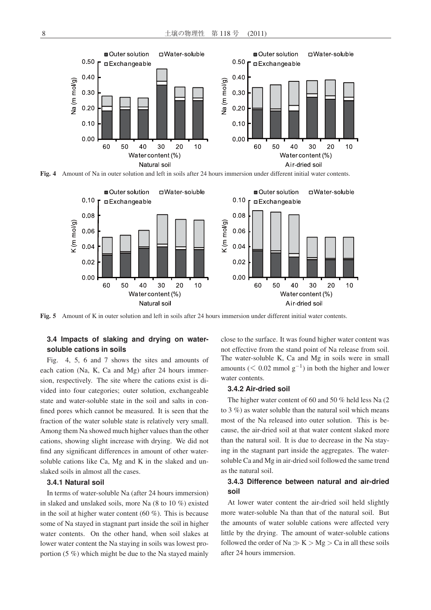

Fig. 4 Amount of Na in outer solution and left in soils after 24 hours immersion under different initial water contents.



Fig. 5 Amount of K in outer solution and left in soils after 24 hours immersion under different initial water contents.

## **3.4 Impacts of slaking and drying on watersoluble cations in soils**

Fig. 4, 5, 6 and 7 shows the sites and amounts of each cation (Na, K, Ca and Mg) after 24 hours immersion, respectively. The site where the cations exist is divided into four categories; outer solution, exchangeable state and water-soluble state in the soil and salts in confined pores which cannot be measured. It is seen that the fraction of the water soluble state is relatively very small. Among them Na showed much higher values than the other cations, showing slight increase with drying. We did not find any significant differences in amount of other watersoluble cations like Ca, Mg and K in the slaked and unslaked soils in almost all the cases.

## slaked soils in almost all the cases. **3.4.1 Natural soil**

In terms of water-soluble Na (after 24 hours immersion) in slaked and unslaked soils, more Na (8 to 10 %) existed in the soil at higher water content (60 %). This is because some of Na stayed in stagnant part inside the soil in higher water contents. On the other hand, when soil slakes at lower water content the Na staying in soils was lowest prolower water content the Na staying in soils was lowest pro $p \rightarrow \infty$  which might be due to the Na stayed mainly  $\mathcal{L}$  close to the surface. It was found higher water content was not effective from the stand point of Na release from soil. The water-soluble K, Ca and Mg in soils were in small amounts ( $\leq 0.02$  mmol g<sup>-1</sup>) in both the higher and lower

## 3.4.2 Air-dried soil

The higher water content of 60 and 50 % held less Na  $(2 \text{ to } 3 \%)$  as water soluble than the natural soil which means most of the Na released into outer solution. This is because, the air-dried soil at that water content slaked more than the natural soil. It is due to decrease in the Na staying in the stagnant part inside the aggregates. The watersoluble Ca and Mg in air-dried soil followed the same trend as the natural soil.

## as the natural soil. **3.4.3 Difference between natural and air-dried soil**

At lower water content the air-dried soil held slightly more water-soluble Na than that of the natural soil. But the amounts of water soluble cations were affected very little by the drying. The amount of water-soluble cations followed the order of Na  $\gg K > Mg > Ca$  in all these soils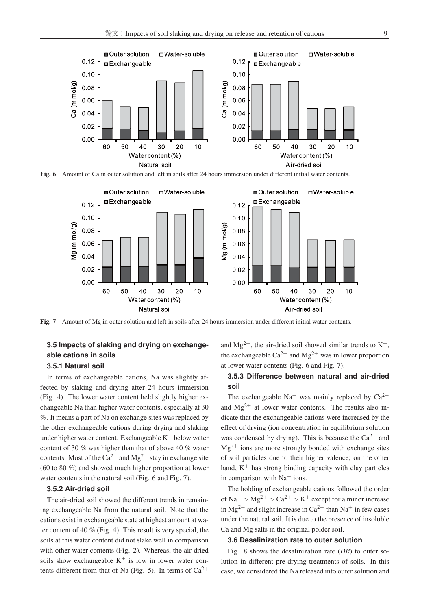

Fig. 6 Amount of Ca in outer solution and left in soils after 24 hours immersion under different initial water contents.



Fig. 7 Amount of Mg in outer solution and left in soils after 24 hours immersion under different initial water contents.

## **3.5 Impacts of slaking and drying on exchangeable cations in soils**

## **3.5.1 Natural soil**

In terms of exchangeable cations, Na was slightly affected by slaking and drying after 24 hours immersion (Fig. 4). The lower water content held slightly higher exchangeable Na than higher water contents, especially at 30 %. It means a part of Na on exchange sites was replaced by the other exchangeable cations during drying and slaking under higher water content. Exchangeable  $K^+$  below water contents. Most of the  $Ca^{2+}$  and  $Mg^{2+}$  stay in exchange site  $\frac{1}{\sqrt{6}}$  to 80 to 80 to 80 to 80 to 80 to 80 to 80 to 80 to 80 to 80 to 80 to 80 to 80 to 80 to 80 to 80 to 80 to 80 to 80 to 80 to 80 to 80 to 80 to 80 to 80 to 80 to 80 to 80 to 80 to 80 to 80 to 80 to 80 to 80 to 8 water contents in the natural soil (Fig. 6 and Fig. 7).

#### **3.5.2 Air-dried soil**

The air-dried soil showed the different trends in remain-<br>ing exchangeable Na from the natural soil. Note that the cations exist in exchangeable state at highest amount at water content of 40  $%$  (Fig. 4). This result is very special, the soils at this water content did not slake well in comparison with other water contents (Fig. 2). Whereas, the air-dried soils show exchangeable  $K^+$  is low in lower water contents different from that of Na (Fig. 5). In terms of  $Ca^{2+}$ 

and  $Mg^{2+}$ , the air-dried soil showed similar trends to  $K^+$ , the exchangeable  $Ca^{2+}$  and  $Mg^{2+}$  was in lower proportion<br>at lower water contents (Fig. 6 and Fig. 7).

## **3.5.3 Difference between natural and air-dried soil**

The exchangeable  $Na<sup>+</sup>$  was mainly replaced by  $Ca<sup>2+</sup>$ and  $Mg^{2+}$  at lower water contents. The results also indicate that the exchangeable cations were increased by the effect of drying (ion concentration in equilibrium solution was condensed by drying). This is because the  $Ca^{2+}$  and  $Me^{2+}$  is no any group strength handed with such an action  $Mg^{2+}$  ions are more strongly bonded with exchange sites<br>of soil particles due to their higher valence; on the other hand,  $K^+$  has strong binding capacity with clay particles in comparison with  $Na<sup>+</sup>$  ions.<br>The holding of exchangeable cations followed the order

of Na<sup>+</sup> > Mg<sup>2+</sup> > Ca<sup>2+</sup> > K<sup>+</sup> except for a minor increase in Mg<sup>2+</sup> and slight increase in Ca<sup>2+</sup> than Na<sup>+</sup> in few cases<br>under the natural soil. It is due to the presence of insoluble Ca and Mg salts in the original polder soil.

## **3.6 Desalinization rate to outer solution**

Fig. 8 shows the desalinization rate (*DR*) to outer solution in different pre-drying treatments of soils. In this case, we considered the Na released into outer solution and case, we considered the Na released into outer solution and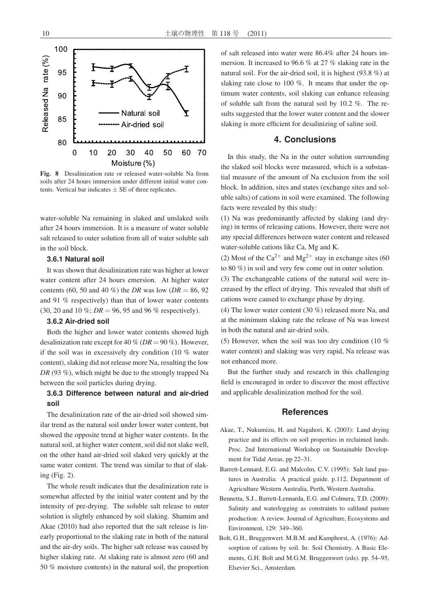

Fig. 8 Desalinization rate or released water-soluble Na from soils after 24 hours immersion under different initial water contents. Vertical bar indicates  $\pm$  SE of three replicates.

water-soluble Na remaining in slaked and unslaked soils after 24 hours immersion. It is a measure of water soluble salt released to outer solution from all of water soluble salt in the soil block.

#### **3.6.1 Natural soil**

It was shown that desalinization rate was higher at lower water content after 24 hours emersion. At higher water contents (60, 50 and 40 %) the *DR* was low (*DR* = 86, 92 and 91 % respectively) than that of lower water contents (30, 20 and 10 %; *DR* = 96, 95 and 96 % respectively).

### **3.6.2 Air-dried soil**

Both the higher and lower water contents showed high desalinization rate except for 40 % (*DR* = 90 %). However, if the soil was in excessively dry condition (10 % water content), slaking did not release more Na, resulting the low *DR* (93 %), which might be due to the strongly trapped Na between the soil particles during drying.

## **3.6.3 Difference between natural and air-dried soil**

The desalinization rate of the air-dried soil showed similar trend as the natural soil under lower water content, but showed the opposite trend at higher water contents. In the natural soil, at higher water content, soil did not slake well, on the other hand air-dried soil slaked very quickly at the same water content. The trend was similar to that of slaking (Fig. 2).

The whole result indicates that the desalinization rate is somewhat affected by the initial water content and by the intensity of pre-drying. The soluble salt release to outer solution is slightly enhanced by soil slaking. Shamim and Akae (2010) had also reported that the salt release is linearly proportional to the slaking rate in both of the natural and the air-dry soils. The higher salt release was caused by higher slaking rate. At slaking rate is almost zero (60 and 50 % moisture contents) in the natural soil, the proportion

of salt released into water were 86.4% after 24 hours immersion. It increased to 96.6 % at 27 % slaking rate in the natural soil. For the air-dried soil, it is highest (93.8 %) at slaking rate close to 100 %. It means that under the optimum water contents, soil slaking can enhance releasing of soluble salt from the natural soil by 10.2 %. The results suggested that the lower water content and the slower slaking is more efficient for desalinizing of saline soil.

### **4. Conclusions**

In this study, the Na in the outer solution surrounding the slaked soil blocks were measured, which is a substantial measure of the amount of Na exclusion from the soil block. In addition, sites and states (exchange sites and soluble salts) of cations in soil were examined. The following facts were revealed by this study:

(1) Na was predominantly affected by slaking (and drying) in terms of releasing cations. However, there were not any special differences between water content and released water-soluble cations like Ca, Mg and K.

(2) Most of the  $Ca^{2+}$  and  $Mg^{2+}$  stay in exchange sites (60) to 80 %) in soil and very few come out in outer solution.

(3) The exchangeable cations of the natural soil were increased by the effect of drying. This revealed that shift of cations were caused to exchange phase by drying.

(4) The lower water content (30 %) released more Na, and at the minimum slaking rate the release of Na was lowest in both the natural and air-dried soils.

(5) However, when the soil was too dry condition (10  $%$ water content) and slaking was very rapid, Na release was not enhanced more.

But the further study and research in this challenging field is encouraged in order to discover the most effective and applicable desalinization method for the soil.

## **References**

- Akae, T., Nukumizu, H. and Nagahori, K. (2003): Land drying practice and its effects on soil properties in reclaimed lands. Proc. 2nd International Workshop on Sustainable Development for Tidal Areas. pp 22–31.
- Barrett-Lennard, E.G. and Malcolm, C.V. (1995): Salt land pastures in Australia: A practical guide. p.112, Department of Agriculture Western Australia, Perth, Western Australia.
- Bennetta, S.J., Barrett-Lennarda, E.G. and Colmera, T.D. (2009): Salinity and waterlogging as constraints to saltland pasture production: A review. Journal of Agriculture, Ecosystems and Environment, 129: 349–360.
- Bolt, G.H., Bruggenwert. M.B.M. and Kamphorst, A. (1976): Adsorption of cations by soil. In: Soil Chemistry. A Basic Elements, G.H. Bolt and M.G.M. Bruggenwert (eds). pp. 54–95, Elsevier Sci., Amsterdam.